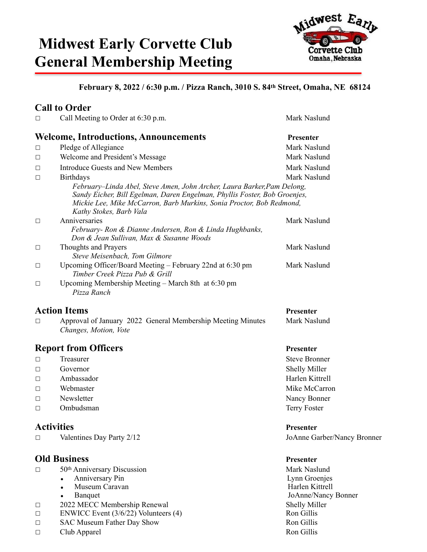# **Midwest Early Corvette Club General Membership Meeting**



### **February 8, 2022 / 6:30 p.m. / Pizza Ranch, 3010 S. 84th Street, Omaha, NE 68124**

### **Call to Order**

| $\Box$ | Call Meeting to Order at 6:30 p.m.                                                                                                                                                                                                                      | Mark Naslund     |  |
|--------|---------------------------------------------------------------------------------------------------------------------------------------------------------------------------------------------------------------------------------------------------------|------------------|--|
|        | <b>Welcome, Introductions, Announcements</b>                                                                                                                                                                                                            | <b>Presenter</b> |  |
| $\Box$ | Pledge of Allegiance                                                                                                                                                                                                                                    | Mark Naslund     |  |
| $\Box$ | Welcome and President's Message                                                                                                                                                                                                                         | Mark Naslund     |  |
| $\Box$ | Introduce Guests and New Members                                                                                                                                                                                                                        | Mark Naslund     |  |
| $\Box$ | <b>Birthdays</b>                                                                                                                                                                                                                                        | Mark Naslund     |  |
|        | February–Linda Abel, Steve Amen, John Archer, Laura Barker, Pam Delong,<br>Sandy Eicher, Bill Egelman, Daren Engelman, Phyllis Foster, Bob Groenjes,<br>Mickie Lee, Mike McCarron, Barb Murkins, Sonia Proctor, Bob Redmond,<br>Kathy Stokes, Barb Vala |                  |  |
| $\Box$ | Anniversaries                                                                                                                                                                                                                                           | Mark Naslund     |  |
|        | February- Ron & Dianne Andersen, Ron & Linda Hughbanks,<br>Don & Jean Sullivan, Max & Susanne Woods                                                                                                                                                     |                  |  |
| $\Box$ | Thoughts and Prayers<br>Steve Meisenbach, Tom Gilmore                                                                                                                                                                                                   | Mark Naslund     |  |
| $\Box$ | Upcoming Officer/Board Meeting – February 22nd at 6:30 pm<br>Timber Creek Pizza Pub & Grill                                                                                                                                                             | Mark Naslund     |  |
| $\Box$ | Upcoming Membership Meeting – March 8th at 6:30 pm<br>Pizza Ranch                                                                                                                                                                                       |                  |  |
|        | <b>Action Items</b>                                                                                                                                                                                                                                     | Presenter        |  |
| $\Box$ | Approval of January 2022 General Membership Meeting Minutes<br>Changes, Motion, Vote                                                                                                                                                                    | Mark Naslund     |  |

### **Report from Officers** Presenter

- ☐ Treasurer Steve Bronner
- ☐ Governor Shelly Miller
- ☐ Ambassador Harlen Kittrell
- $\Box$  Webmaster Mike McCarron
- ☐ Newsletter Nancy Bonner
- ☐ Ombudsman Terry Foster

### **Activities** Presenter **Presenter**

☐ Valentines Day Party 2/12 JoAnne Garber/Nancy Bronner

### **Old Business** Presenter

- □ 50<sup>th</sup> Anniversary Discussion Mark Naslund
	- - Museum Caravan<br>Banquet
		-
- □ 2022 MECC Membership Renewal Shelly Miller<br>
ENWICC Event (3/6/22) Volunteers (4) Ron Gillis
- $\Box$  ENWICC Event (3/6/22) Volunteers (4)
- □ SAC Museum Father Day Show Ron Gillis
- ☐ Club Apparel Ron Gillis

• Anniversary Pin Lynn Groenjes JoAnne/Nancy Bonner